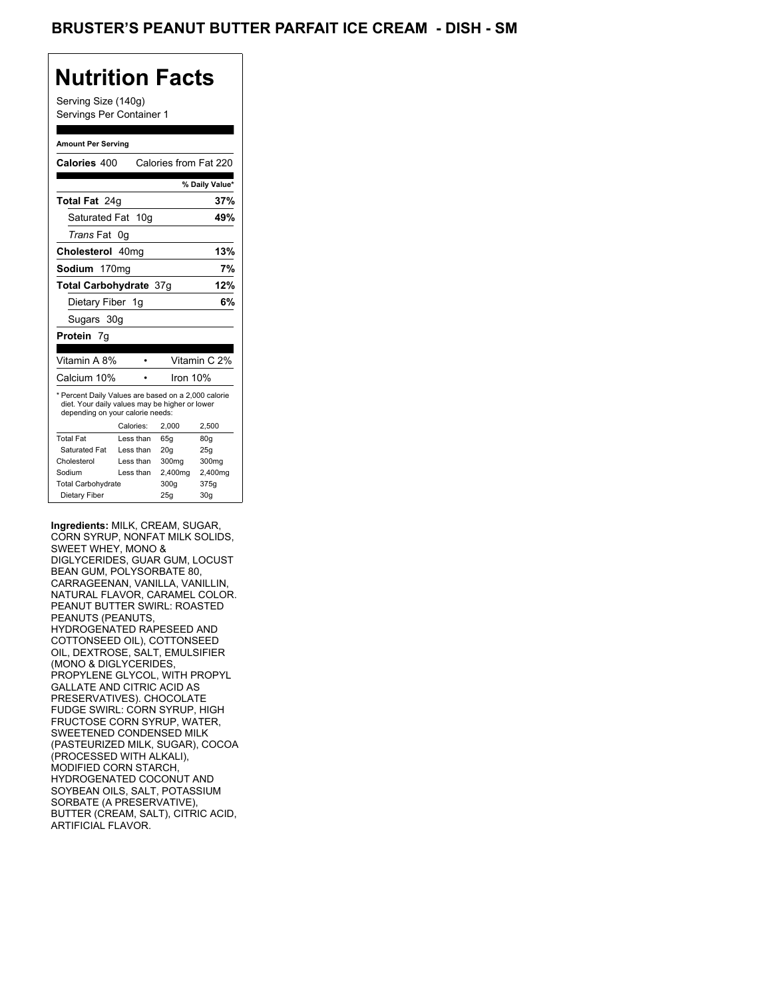Serving Size (140g) Servings Per Container 1

#### **Amount Per Serving**

| Calories 400                                                                                                                              |           |          | Calories from Fat 220 |
|-------------------------------------------------------------------------------------------------------------------------------------------|-----------|----------|-----------------------|
|                                                                                                                                           |           |          | % Daily Value*        |
| Total Fat 24g                                                                                                                             |           |          | 37%                   |
| Saturated Fat 10g                                                                                                                         |           |          | 49%                   |
| <i>Trans</i> Fat<br>0g                                                                                                                    |           |          |                       |
| Cholesterol 40mg                                                                                                                          |           |          | 13%                   |
| Sodium 170mg                                                                                                                              |           |          | 7%                    |
| Total Carbohydrate 37q                                                                                                                    |           |          | 12%                   |
| Dietary Fiber 1g                                                                                                                          |           |          | 6%                    |
| Sugars 30g                                                                                                                                |           |          |                       |
|                                                                                                                                           |           |          |                       |
| Protein 7g                                                                                                                                |           |          |                       |
|                                                                                                                                           |           |          |                       |
| Vitamin A 8%                                                                                                                              |           |          | Vitamin C 2%          |
| Calcium 10%                                                                                                                               |           | Iron 10% |                       |
| * Percent Daily Values are based on a 2,000 calorie<br>diet. Your daily values may be higher or lower<br>depending on your calorie needs: |           |          |                       |
|                                                                                                                                           | Calories: | 2.000    | 2,500                 |
| <b>Total Fat</b>                                                                                                                          | Less than | 65q      | 80q                   |
| Saturated Fat                                                                                                                             | Less than | 20q      | 25q                   |
| Cholesterol                                                                                                                               | Less than | 300mg    | 300mg                 |
| Sodium                                                                                                                                    | Less than | 2,400mg  | 2,400mg               |
| <b>Total Carbohydrate</b>                                                                                                                 |           | 300g     | 375g                  |

**Ingredients:** MILK, CREAM, SUGAR, CORN SYRUP, NONFAT MILK SOLIDS, SWEET WHEY, MONO & DIGLYCERIDES, GUAR GUM, LOCUST BEAN GUM, POLYSORBATE 80, CARRAGEENAN, VANILLA, VANILLIN, NATURAL FLAVOR, CARAMEL COLOR. PEANUT BUTTER SWIRL: ROASTED PEANUTS (PEANUTS, HYDROGENATED RAPESEED AND COTTONSEED OIL), COTTONSEED OIL, DEXTROSE, SALT, EMULSIFIER (MONO & DIGLYCERIDES, PROPYLENE GLYCOL, WITH PROPYL GALLATE AND CITRIC ACID AS PRESERVATIVES). CHOCOLATE FUDGE SWIRL: CORN SYRUP, HIGH FRUCTOSE CORN SYRUP, WATER, SWEETENED CONDENSED MILK (PASTEURIZED MILK, SUGAR), COCOA (PROCESSED WITH ALKALI), MODIFIED CORN STARCH, HYDROGENATED COCONUT AND SOYBEAN OILS, SALT, POTASSIUM SORBATE (A PRESERVATIVE), BUTTER (CREAM, SALT), CITRIC ACID, ARTIFICIAL FLAVOR.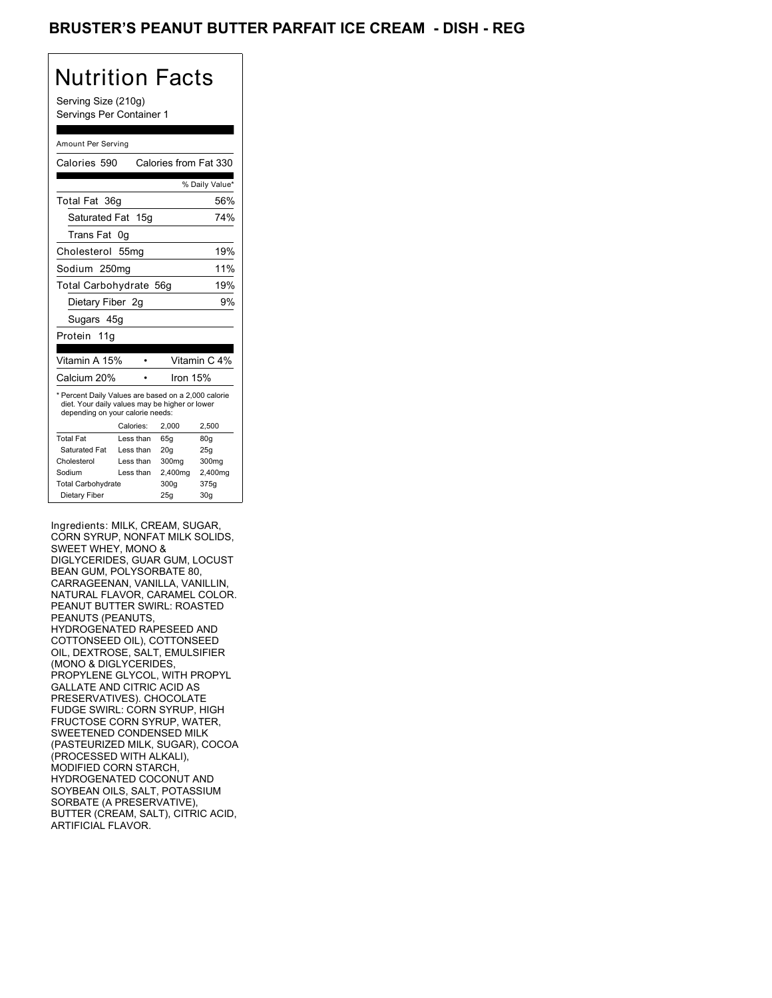### BRUSTER'S PEANUT BUTTER PARFAIT ICE CREAM - DISH - REG

# Nutrition Facts

Serving Size (210g) Servings Per Container 1

#### Amount Per Serving

|                                                                                                                                           | Calories from Fat 330                                                                        |                        |  |
|-------------------------------------------------------------------------------------------------------------------------------------------|----------------------------------------------------------------------------------------------|------------------------|--|
|                                                                                                                                           |                                                                                              | % Daily Value*         |  |
|                                                                                                                                           |                                                                                              | 56%                    |  |
|                                                                                                                                           |                                                                                              | 74%                    |  |
|                                                                                                                                           |                                                                                              |                        |  |
|                                                                                                                                           |                                                                                              | 19%                    |  |
|                                                                                                                                           |                                                                                              | 11%                    |  |
|                                                                                                                                           |                                                                                              | 19%                    |  |
|                                                                                                                                           |                                                                                              | 9%                     |  |
|                                                                                                                                           |                                                                                              |                        |  |
|                                                                                                                                           |                                                                                              |                        |  |
|                                                                                                                                           |                                                                                              |                        |  |
|                                                                                                                                           |                                                                                              | Vitamin C 4%           |  |
|                                                                                                                                           | Iron 15%                                                                                     |                        |  |
| * Percent Daily Values are based on a 2,000 calorie<br>diet. Your daily values may be higher or lower<br>depending on your calorie needs: |                                                                                              |                        |  |
|                                                                                                                                           | 2.000                                                                                        | 2,500                  |  |
|                                                                                                                                           |                                                                                              |                        |  |
| Less than                                                                                                                                 | 65g                                                                                          | 80 <sub>g</sub>        |  |
| Less than                                                                                                                                 | 20 <sub>g</sub>                                                                              | 25g                    |  |
| Less than                                                                                                                                 | 300mg                                                                                        | 300mg                  |  |
| Less than                                                                                                                                 | 2,400mg                                                                                      | 2,400mg                |  |
|                                                                                                                                           | 300q                                                                                         | 375g                   |  |
|                                                                                                                                           | Saturated Fat 15g<br>0g<br>55 <sub>mg</sub><br>Sodium 250mg<br>Dietary Fiber 2q<br>Calories: | Total Carbohydrate 56g |  |

Ingredients: MILK, CREAM, SUGAR, CORN SYRUP, NONFAT MILK SOLIDS, SWEET WHEY, MONO & DIGLYCERIDES, GUAR GUM, LOCUST BEAN GUM, POLYSORBATE 80, CARRAGEENAN, VANILLA, VANILLIN, NATURAL FLAVOR, CARAMEL COLOR. PEANUT BUTTER SWIRL: ROASTED PEANUTS (PEANUTS, HYDROGENATED RAPESEED AND COTTONSEED OIL), COTTONSEED OIL, DEXTROSE, SALT, EMULSIFIER (MONO & DIGLYCERIDES, PROPYLENE GLYCOL, WITH PROPYL GALLATE AND CITRIC ACID AS PRESERVATIVES). CHOCOLATE FUDGE SWIRL: CORN SYRUP, HIGH FRUCTOSE CORN SYRUP, WATER, SWEETENED CONDENSED MILK (PASTEURIZED MILK, SUGAR), COCOA (PROCESSED WITH ALKALI), MODIFIED CORN STARCH, HYDROGENATED COCONUT AND SOYBEAN OILS, SALT, POTASSIUM SORBATE (A PRESERVATIVE), BUTTER (CREAM, SALT), CITRIC ACID, ARTIFICIAL FLAVOR.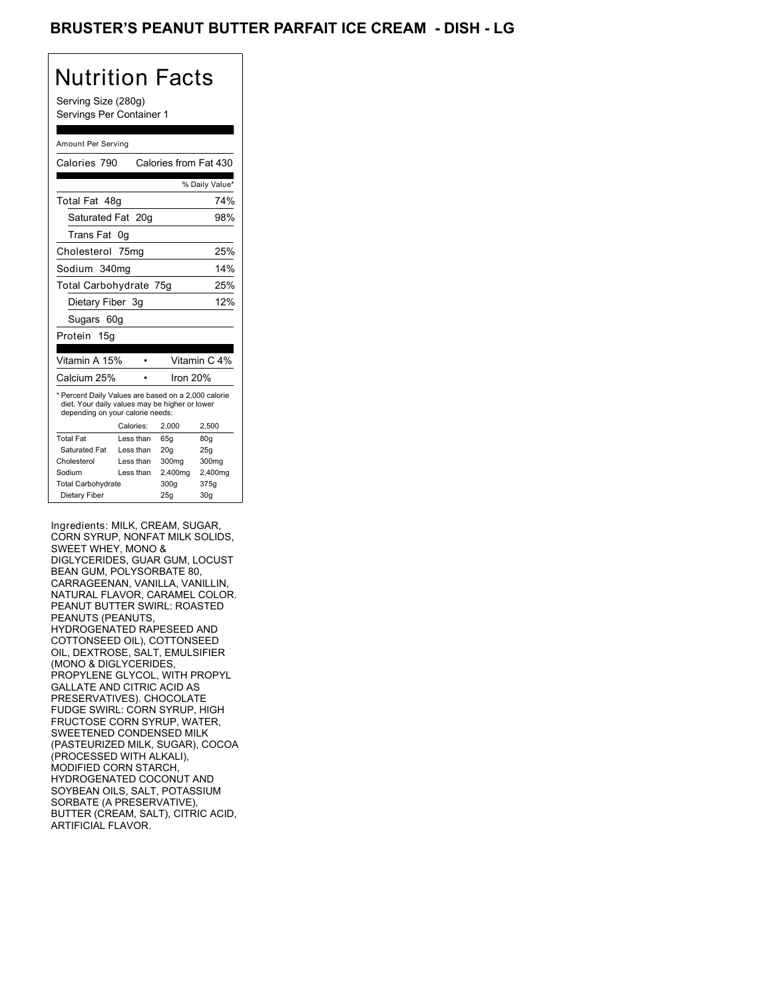### BRUSTER'S PEANUT BUTTER PARFAIT ICE CREAM - DISH <mark>- LG</mark>

# Nutrition Facts

Serving Size (280g) Servings Per Container 1

#### Amount Per Serving

| Calories 790                                                                                                                              |           | Calories from Fat 430 |                 |
|-------------------------------------------------------------------------------------------------------------------------------------------|-----------|-----------------------|-----------------|
|                                                                                                                                           |           |                       |                 |
|                                                                                                                                           |           |                       | % Daily Value*  |
| Total Fat 48g                                                                                                                             |           |                       | 74%             |
| Saturated Fat 20g                                                                                                                         |           |                       | 98%             |
| Trans Fat                                                                                                                                 | 0g        |                       |                 |
| Cholesterol 75mg                                                                                                                          |           |                       | 25%             |
| Sodium 340mg                                                                                                                              |           |                       | 14%             |
| Total Carbohydrate 75g                                                                                                                    |           |                       | 25%             |
| Dietary Fiber 3q                                                                                                                          |           |                       | 12%             |
| Sugars 60g                                                                                                                                |           |                       |                 |
| Protein 15g                                                                                                                               |           |                       |                 |
|                                                                                                                                           |           |                       |                 |
| Vitamin A 15%                                                                                                                             |           |                       | Vitamin C 4%    |
| Calcium 25%                                                                                                                               |           | Iron 20%              |                 |
| * Percent Daily Values are based on a 2,000 calorie<br>diet. Your daily values may be higher or lower<br>depending on your calorie needs: |           |                       |                 |
|                                                                                                                                           | Calories: | 2.000                 | 2,500           |
| <b>Total Fat</b>                                                                                                                          | Less than | 65q                   | 80 <sub>g</sub> |
| Saturated Fat                                                                                                                             | Less than | 20q                   | 25q             |
| Cholesterol                                                                                                                               | Less than | 300mg                 | 300mg           |
| Sodium                                                                                                                                    | Less than | 2,400mg               | 2,400mg         |
| <b>Total Carbohydrate</b>                                                                                                                 |           | 300q                  | 375g            |
| Dietary Fiber                                                                                                                             |           | 25g                   | 30 <sub>g</sub> |

Ingredients: MILK, CREAM, SUGAR, CORN SYRUP, NONFAT MILK SOLIDS, SWEET WHEY, MONO & DIGLYCERIDES, GUAR GUM, LOCUST BEAN GUM, POLYSORBATE 80, CARRAGEENAN, VANILLA, VANILLIN, NATURAL FLAVOR, CARAMEL COLOR. PEANUT BUTTER SWIRL: ROASTED PEANUTS (PEANUTS, HYDROGENATED RAPESEED AND COTTONSEED OIL), COTTONSEED OIL, DEXTROSE, SALT, EMULSIFIER (MONO & DIGLYCERIDES, PROPYLENE GLYCOL, WITH PROPYL GALLATE AND CITRIC ACID AS PRESERVATIVES). CHOCOLATE FUDGE SWIRL: CORN SYRUP, HIGH FRUCTOSE CORN SYRUP, WATER, SWEETENED CONDENSED MILK (PASTEURIZED MILK, SUGAR), COCOA (PROCESSED WITH ALKALI), MODIFIED CORN STARCH, HYDROGENATED COCONUT AND SOYBEAN OILS, SALT, POTASSIUM SORBATE (A PRESERVATIVE), BUTTER (CREAM, SALT), CITRIC ACID, ARTIFICIAL FLAVOR.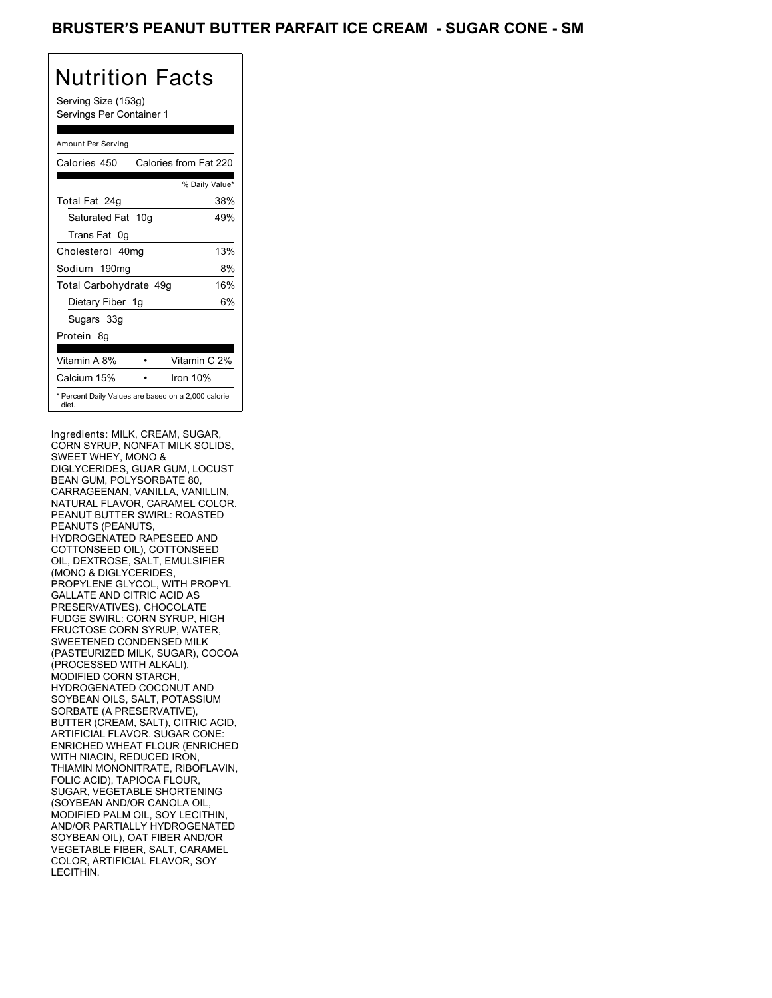### BRUSTER'S PEANUT BUTTER PARFAIT ICE CREAM - SUGAR CONE - SM

# Nutrition Facts

Serving Size (153g) Servings Per Container 1

### Amount Per Serving

| Calories 450                                                 | Calories from Fat 220 |     |
|--------------------------------------------------------------|-----------------------|-----|
|                                                              | % Daily Value*        |     |
| Total Fat 24g                                                |                       | 38% |
| Saturated Fat 10g                                            |                       | 49% |
| Trans Fat 0q                                                 |                       |     |
| Cholesterol 40mg                                             |                       | 13% |
| Sodium 190mg                                                 |                       | 8%  |
| Total Carbohydrate 49g                                       |                       | 16% |
| Dietary Fiber 1g                                             |                       | 6%  |
| Sugars 33g                                                   |                       |     |
| Protein 8q                                                   |                       |     |
| Vitamin A 8%                                                 | Vitamin C 2%          |     |
| Calcium 15%                                                  | Iron 10%              |     |
| * Percent Daily Values are based on a 2,000 calorie<br>diet. |                       |     |

Ingredients: MILK, CREAM, SUGAR, CORN SYRUP, NONFAT MILK SOLIDS, SWEET WHEY, MONO & DIGLYCERIDES, GUAR GUM, LOCUST BEAN GUM, POLYSORBATE 80, CARRAGEENAN, VANILLA, VANILLIN, NATURAL FLAVOR, CARAMEL COLOR. PEANUT BUTTER SWIRL: ROASTED PEANUTS (PEANUTS, HYDROGENATED RAPESEED AND COTTONSEED OIL), COTTONSEED OIL, DEXTROSE, SALT, EMULSIFIER (MONO & DIGLYCERIDES, PROPYLENE GLYCOL, WITH PROPYL GALLATE AND CITRIC ACID AS PRESERVATIVES). CHOCOLATE FUDGE SWIRL: CORN SYRUP, HIGH FRUCTOSE CORN SYRUP, WATER, SWEETENED CONDENSED MILK (PASTEURIZED MILK, SUGAR), COCOA (PROCESSED WITH ALKALI), MODIFIED CORN STARCH, HYDROGENATED COCONUT AND SOYBEAN OILS, SALT, POTASSIUM SORBATE (A PRESERVATIVE), BUTTER (CREAM, SALT), CITRIC ACID, ARTIFICIAL FLAVOR. SUGAR CONE: ENRICHED WHEAT FLOUR (ENRICHED WITH NIACIN, REDUCED IRON, THIAMIN MONONITRATE, RIBOFLAVIN, FOLIC ACID), TAPIOCA FLOUR, SUGAR, VEGETABLE SHORTENING (SOYBEAN AND/OR CANOLA OIL, MODIFIED PALM OIL, SOY LECITHIN, AND/OR PARTIALLY HYDROGENATED SOYBEAN OIL), OAT FIBER AND/OR VEGETABLE FIBER, SALT, CARAMEL COLOR, ARTIFICIAL FLAVOR, SOY LECITHIN.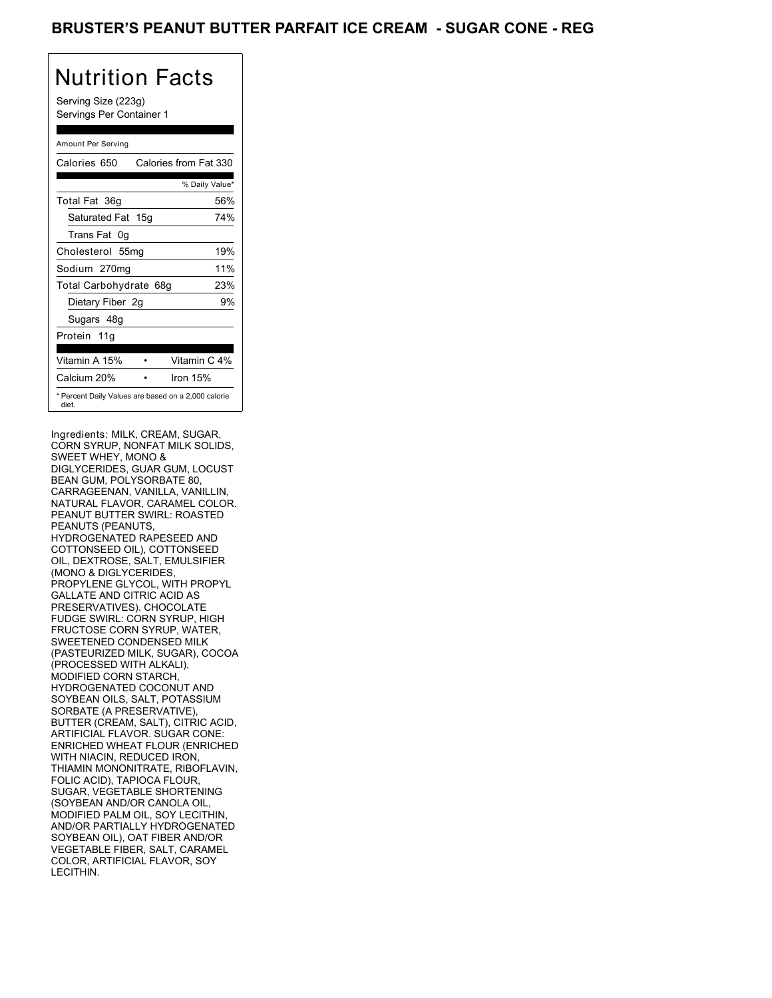### BRUSTER'S PEANUT BUTTER PARFAIT ICE CREAM - SUGAR CONE - REG

# Nutrition Facts

Serving Size (223g) Servings Per Container 1

### Amount Per Serving

| Calories 650                                                 | Calories from Fat 330 |
|--------------------------------------------------------------|-----------------------|
|                                                              | % Daily Value*        |
| Total Fat 36g                                                | 56%                   |
| Saturated Fat 15g                                            | 74%                   |
| Trans Fat 0q                                                 |                       |
| Cholesterol 55mg                                             | 19%                   |
| Sodium 270mg                                                 | 11%                   |
| Total Carbohydrate 68g                                       | 23%                   |
| Dietary Fiber 2g                                             | 9%                    |
| Sugars 48g                                                   |                       |
| Protein 11g                                                  |                       |
| Vitamin A 15%                                                | Vitamin C 4%          |
| Calcium 20%                                                  | Iron 15%              |
| * Percent Daily Values are based on a 2,000 calorie<br>diet. |                       |

Ingredients: MILK, CREAM, SUGAR, CORN SYRUP, NONFAT MILK SOLIDS, SWEET WHEY, MONO & DIGLYCERIDES, GUAR GUM, LOCUST BEAN GUM, POLYSORBATE 80, CARRAGEENAN, VANILLA, VANILLIN, NATURAL FLAVOR, CARAMEL COLOR. PEANUT BUTTER SWIRL: ROASTED PEANUTS (PEANUTS, HYDROGENATED RAPESEED AND COTTONSEED OIL), COTTONSEED OIL, DEXTROSE, SALT, EMULSIFIER (MONO & DIGLYCERIDES, PROPYLENE GLYCOL, WITH PROPYL GALLATE AND CITRIC ACID AS PRESERVATIVES). CHOCOLATE FUDGE SWIRL: CORN SYRUP, HIGH FRUCTOSE CORN SYRUP, WATER, SWEETENED CONDENSED MILK (PASTEURIZED MILK, SUGAR), COCOA (PROCESSED WITH ALKALI), MODIFIED CORN STARCH, HYDROGENATED COCONUT AND SOYBEAN OILS, SALT, POTASSIUM SORBATE (A PRESERVATIVE), BUTTER (CREAM, SALT), CITRIC ACID, ARTIFICIAL FLAVOR. SUGAR CONE: ENRICHED WHEAT FLOUR (ENRICHED WITH NIACIN, REDUCED IRON, THIAMIN MONONITRATE, RIBOFLAVIN, FOLIC ACID), TAPIOCA FLOUR, SUGAR, VEGETABLE SHORTENING (SOYBEAN AND/OR CANOLA OIL, MODIFIED PALM OIL, SOY LECITHIN, AND/OR PARTIALLY HYDROGENATED SOYBEAN OIL), OAT FIBER AND/OR VEGETABLE FIBER, SALT, CARAMEL COLOR, ARTIFICIAL FLAVOR, SOY LECITHIN.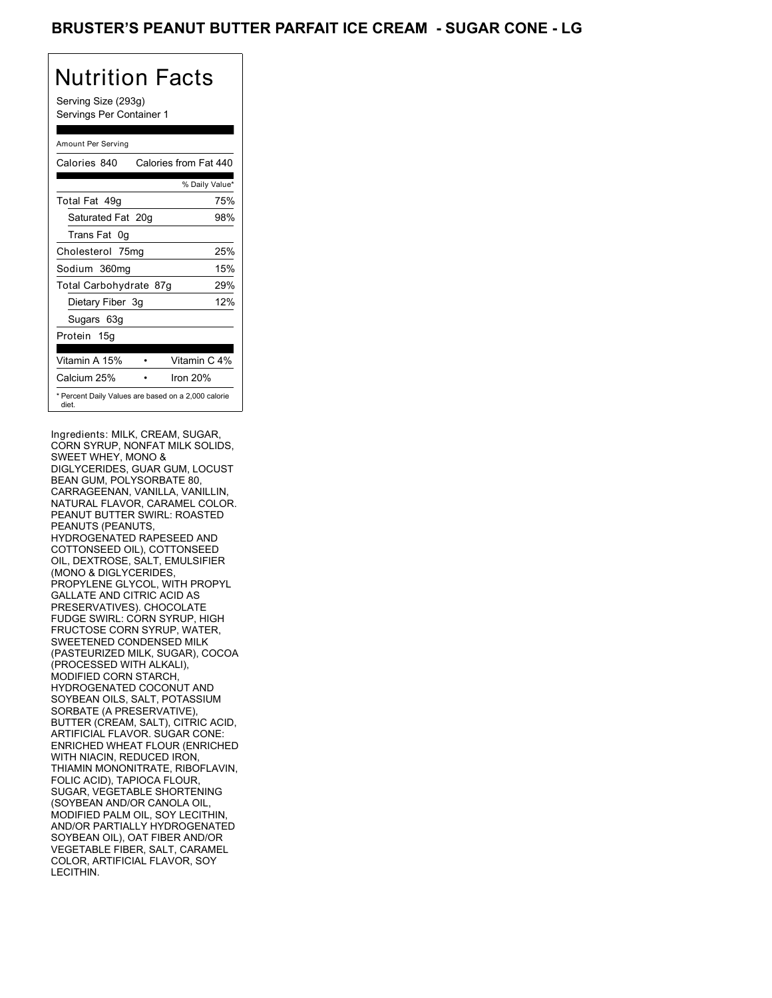### BRUSTER'S PEANUT BUTTER PARFAIT ICE CREAM - SUGAR CONE - LG

# Nutrition Facts

Serving Size (293g) Servings Per Container 1

### Amount Per Serving

| Calories 840           | Calories from Fat 440                               |
|------------------------|-----------------------------------------------------|
|                        | % Daily Value*                                      |
| Total Fat 49g          | 75%                                                 |
| Saturated Fat 20g      | 98%                                                 |
| Trans Fat 0q           |                                                     |
| Cholesterol 75mg       | 25%                                                 |
| Sodium 360mg           | 15%                                                 |
| Total Carbohydrate 87g | 29%                                                 |
| Dietary Fiber 3g       | 12%                                                 |
| Sugars 63g             |                                                     |
| Protein 15g            |                                                     |
| Vitamin A 15%          | Vitamin C 4%                                        |
| Calcium 25%            | Iron 20%                                            |
| diet.                  | * Percent Daily Values are based on a 2,000 calorie |

Ingredients: MILK, CREAM, SUGAR, CORN SYRUP, NONFAT MILK SOLIDS, SWEET WHEY, MONO & DIGLYCERIDES, GUAR GUM, LOCUST BEAN GUM, POLYSORBATE 80, CARRAGEENAN, VANILLA, VANILLIN, NATURAL FLAVOR, CARAMEL COLOR. PEANUT BUTTER SWIRL: ROASTED PEANUTS (PEANUTS, HYDROGENATED RAPESEED AND COTTONSEED OIL), COTTONSEED OIL, DEXTROSE, SALT, EMULSIFIER (MONO & DIGLYCERIDES, PROPYLENE GLYCOL, WITH PROPYL GALLATE AND CITRIC ACID AS PRESERVATIVES). CHOCOLATE FUDGE SWIRL: CORN SYRUP, HIGH FRUCTOSE CORN SYRUP, WATER, SWEETENED CONDENSED MILK (PASTEURIZED MILK, SUGAR), COCOA (PROCESSED WITH ALKALI), MODIFIED CORN STARCH, HYDROGENATED COCONUT AND SOYBEAN OILS, SALT, POTASSIUM SORBATE (A PRESERVATIVE), BUTTER (CREAM, SALT), CITRIC ACID, ARTIFICIAL FLAVOR. SUGAR CONE: ENRICHED WHEAT FLOUR (ENRICHED WITH NIACIN, REDUCED IRON, THIAMIN MONONITRATE, RIBOFLAVIN, FOLIC ACID), TAPIOCA FLOUR, SUGAR, VEGETABLE SHORTENING (SOYBEAN AND/OR CANOLA OIL, MODIFIED PALM OIL, SOY LECITHIN, AND/OR PARTIALLY HYDROGENATED SOYBEAN OIL), OAT FIBER AND/OR VEGETABLE FIBER, SALT, CARAMEL COLOR, ARTIFICIAL FLAVOR, SOY LECITHIN.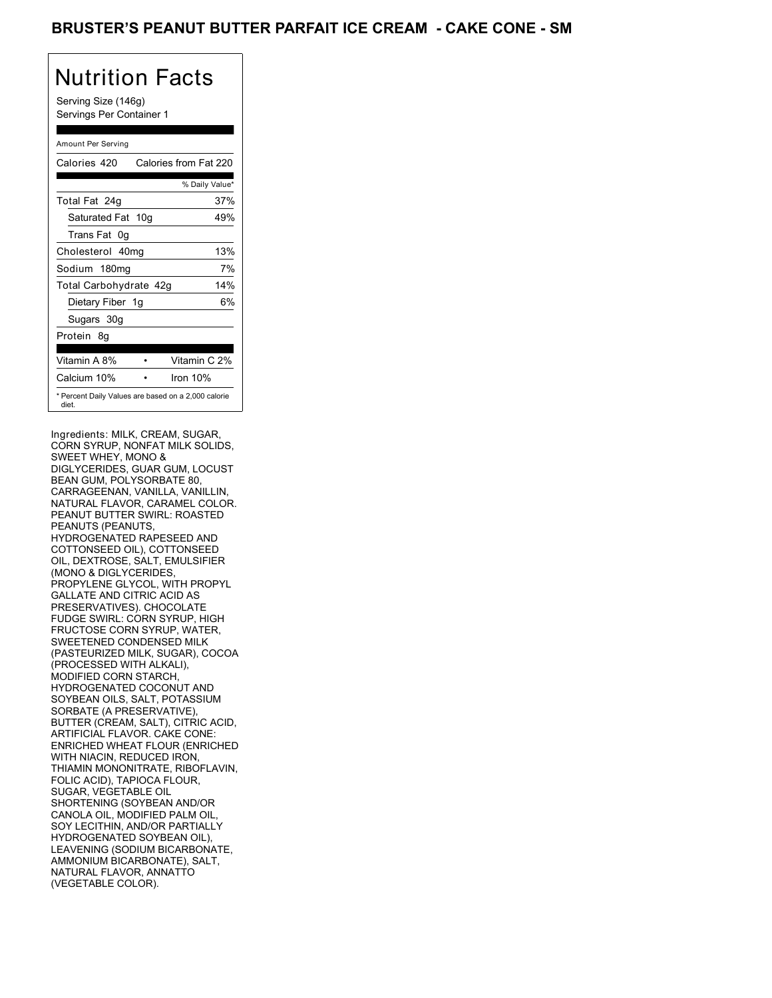### BRUSTER'S PEANUT BUTTER PARFAIT ICE CREAM - CAKE CONE - SM

# Nutrition Facts

Serving Size (146g) Servings Per Container 1

### Amount Per Serving

| Calories 420                                                 | Calories from Fat 220 |
|--------------------------------------------------------------|-----------------------|
|                                                              | % Daily Value*        |
| Total Fat 24g                                                | 37%                   |
| Saturated Fat 10g                                            | 49%                   |
| Trans Fat 0q                                                 |                       |
| Cholesterol 40mg                                             | 13%                   |
| Sodium 180mg                                                 | 7%                    |
| Total Carbohydrate 42g                                       | 14%                   |
| Dietary Fiber 1g                                             | 6%                    |
| Sugars 30g                                                   |                       |
| Protein 8q                                                   |                       |
| Vitamin A 8%                                                 | Vitamin C 2%          |
| Calcium 10%                                                  | Iron 10%              |
| * Percent Daily Values are based on a 2,000 calorie<br>diet. |                       |

Ingredients: MILK, CREAM, SUGAR, CORN SYRUP, NONFAT MILK SOLIDS, SWEET WHEY, MONO & DIGLYCERIDES, GUAR GUM, LOCUST BEAN GUM, POLYSORBATE 80, CARRAGEENAN, VANILLA, VANILLIN, NATURAL FLAVOR, CARAMEL COLOR. PEANUT BUTTER SWIRL: ROASTED PEANUTS (PEANUTS, HYDROGENATED RAPESEED AND COTTONSEED OIL), COTTONSEED OIL, DEXTROSE, SALT, EMULSIFIER (MONO & DIGLYCERIDES, PROPYLENE GLYCOL, WITH PROPYL GALLATE AND CITRIC ACID AS PRESERVATIVES). CHOCOLATE FUDGE SWIRL: CORN SYRUP, HIGH FRUCTOSE CORN SYRUP, WATER, SWEETENED CONDENSED MILK (PASTEURIZED MILK, SUGAR), COCOA (PROCESSED WITH ALKALI), MODIFIED CORN STARCH, HYDROGENATED COCONUT AND SOYBEAN OILS, SALT, POTASSIUM SORBATE (A PRESERVATIVE), BUTTER (CREAM, SALT), CITRIC ACID, ARTIFICIAL FLAVOR. CAKE CONE: ENRICHED WHEAT FLOUR (ENRICHED WITH NIACIN, REDUCED IRON, THIAMIN MONONITRATE, RIBOFLAVIN, FOLIC ACID), TAPIOCA FLOUR, SUGAR, VEGETABLE OIL SHORTENING (SOYBEAN AND/OR CANOLA OIL, MODIFIED PALM OIL, SOY LECITHIN, AND/OR PARTIALLY HYDROGENATED SOYBEAN OIL), LEAVENING (SODIUM BICARBONATE, AMMONIUM BICARBONATE), SALT, NATURAL FLAVOR, ANNATTO (VEGETABLE COLOR).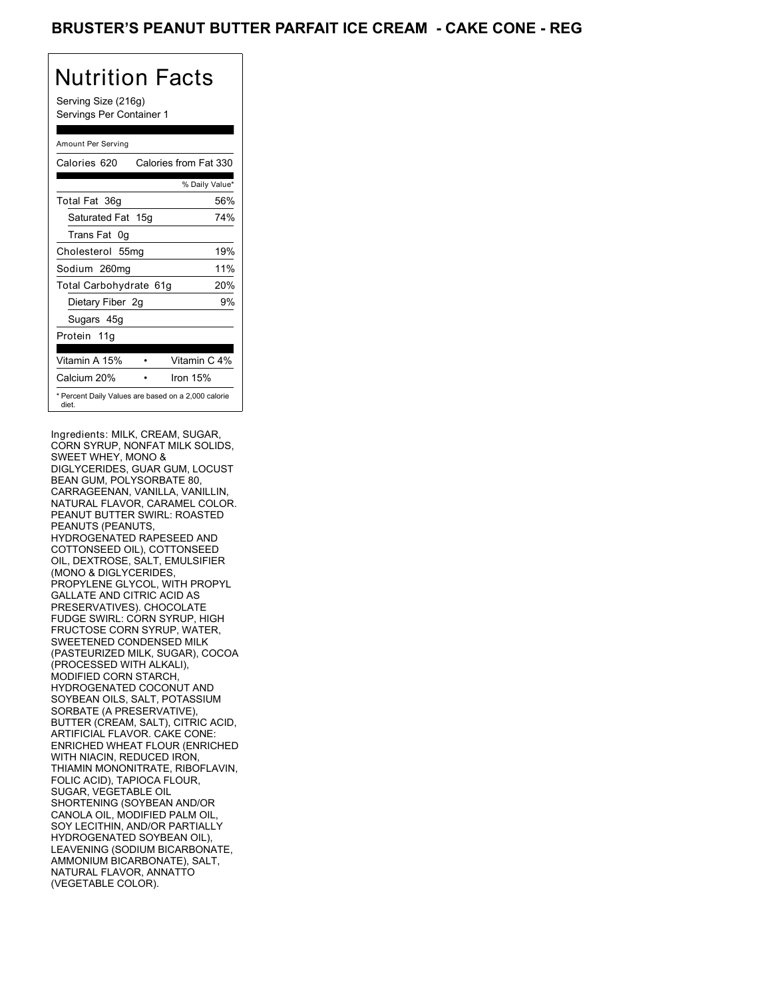### BRUSTER'S PEANUT BUTTER PARFAIT ICE CREAM - CAKE CONE - REG

# Nutrition Facts

Serving Size (216g) Servings Per Container 1

### Amount Per Serving

| Calories 620                                                 | Calories from Fat 330 |
|--------------------------------------------------------------|-----------------------|
|                                                              | % Daily Value*        |
| Total Fat 36g                                                | 56%                   |
| Saturated Fat 15g                                            | 74%                   |
| Trans Fat 0q                                                 |                       |
| Cholesterol 55mg                                             | 19%                   |
| Sodium 260mg                                                 | 11%                   |
| Total Carbohydrate 61g                                       | 20%                   |
| Dietary Fiber 2g                                             | 9%                    |
| Sugars 45g                                                   |                       |
| Protein 11g                                                  |                       |
| Vitamin A 15%                                                | Vitamin C 4%          |
| Calcium 20%                                                  | Iron 15%              |
| * Percent Daily Values are based on a 2,000 calorie<br>diet. |                       |

Ingredients: MILK, CREAM, SUGAR, CORN SYRUP, NONFAT MILK SOLIDS, SWEET WHEY, MONO & DIGLYCERIDES, GUAR GUM, LOCUST BEAN GUM, POLYSORBATE 80, CARRAGEENAN, VANILLA, VANILLIN, NATURAL FLAVOR, CARAMEL COLOR. PEANUT BUTTER SWIRL: ROASTED PEANUTS (PEANUTS, HYDROGENATED RAPESEED AND COTTONSEED OIL), COTTONSEED OIL, DEXTROSE, SALT, EMULSIFIER (MONO & DIGLYCERIDES, PROPYLENE GLYCOL, WITH PROPYL GALLATE AND CITRIC ACID AS PRESERVATIVES). CHOCOLATE FUDGE SWIRL: CORN SYRUP, HIGH FRUCTOSE CORN SYRUP, WATER, SWEETENED CONDENSED MILK (PASTEURIZED MILK, SUGAR), COCOA (PROCESSED WITH ALKALI), MODIFIED CORN STARCH, HYDROGENATED COCONUT AND SOYBEAN OILS, SALT, POTASSIUM SORBATE (A PRESERVATIVE), BUTTER (CREAM, SALT), CITRIC ACID, ARTIFICIAL FLAVOR. CAKE CONE: ENRICHED WHEAT FLOUR (ENRICHED WITH NIACIN, REDUCED IRON, THIAMIN MONONITRATE, RIBOFLAVIN, FOLIC ACID), TAPIOCA FLOUR, SUGAR, VEGETABLE OIL SHORTENING (SOYBEAN AND/OR CANOLA OIL, MODIFIED PALM OIL, SOY LECITHIN, AND/OR PARTIALLY HYDROGENATED SOYBEAN OIL), LEAVENING (SODIUM BICARBONATE, AMMONIUM BICARBONATE), SALT, NATURAL FLAVOR, ANNATTO (VEGETABLE COLOR).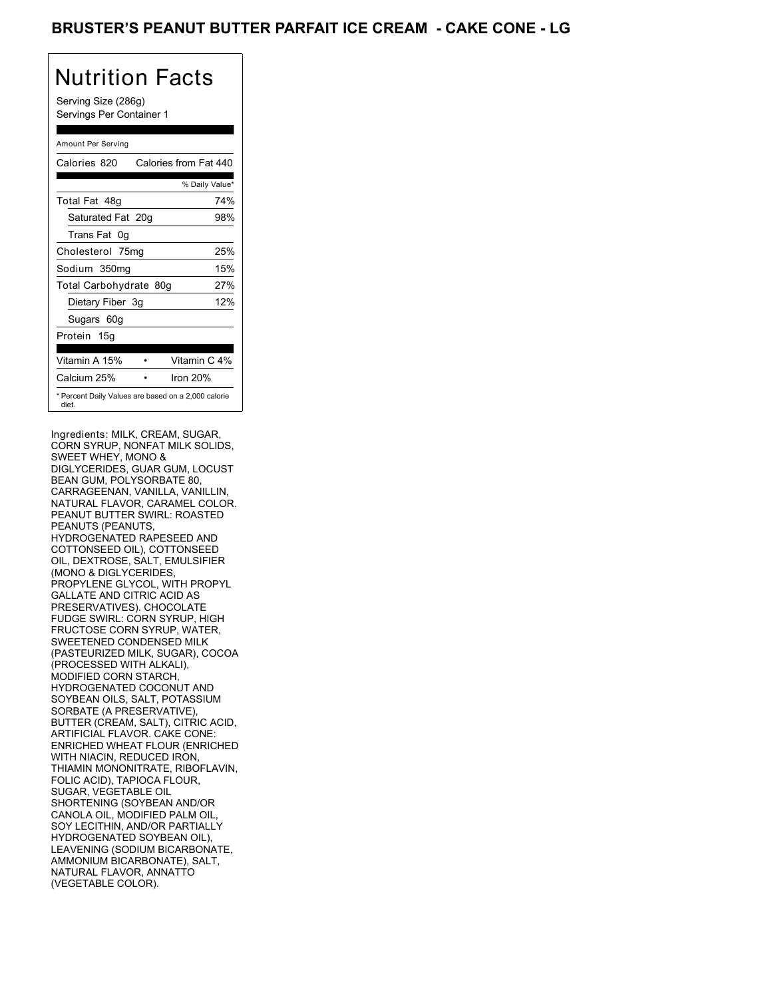Serving Size (286g) Servings Per Container 1

### Amount Per Serving

| Calories 820           | Calories from Fat 440                               |
|------------------------|-----------------------------------------------------|
|                        | % Daily Value*                                      |
| Total Fat 48g          | 74%                                                 |
| Saturated Fat 20g      | 98%                                                 |
| Trans Fat 0q           |                                                     |
| Cholesterol 75mg       | 25%                                                 |
| Sodium 350mg           | 15%                                                 |
| Total Carbohydrate 80g | 27%                                                 |
| Dietary Fiber 3g       | 12%                                                 |
| Sugars 60g             |                                                     |
| Protein 15g            |                                                     |
| Vitamin A 15%          | Vitamin C 4%                                        |
| Calcium 25%            | Iron 20%                                            |
| diet.                  | * Percent Daily Values are based on a 2,000 calorie |

Ingredients: MILK, CREAM, SUGAR, CORN SYRUP, NONFAT MILK SOLIDS, SWEET WHEY, MONO & DIGLYCERIDES, GUAR GUM, LOCUST BEAN GUM, POLYSORBATE 80, CARRAGEENAN, VANILLA, VANILLIN, NATURAL FLAVOR, CARAMEL COLOR. PEANUT BUTTER SWIRL: ROASTED PEANUTS (PEANUTS, HYDROGENATED RAPESEED AND COTTONSEED OIL), COTTONSEED OIL, DEXTROSE, SALT, EMULSIFIER (MONO & DIGLYCERIDES, PROPYLENE GLYCOL, WITH PROPYL GALLATE AND CITRIC ACID AS PRESERVATIVES). CHOCOLATE FUDGE SWIRL: CORN SYRUP, HIGH FRUCTOSE CORN SYRUP, WATER, SWEETENED CONDENSED MILK (PASTEURIZED MILK, SUGAR), COCOA (PROCESSED WITH ALKALI), MODIFIED CORN STARCH, HYDROGENATED COCONUT AND SOYBEAN OILS, SALT, POTASSIUM SORBATE (A PRESERVATIVE), BUTTER (CREAM, SALT), CITRIC ACID, ARTIFICIAL FLAVOR. CAKE CONE: ENRICHED WHEAT FLOUR (ENRICHED WITH NIACIN, REDUCED IRON, THIAMIN MONONITRATE, RIBOFLAVIN, FOLIC ACID), TAPIOCA FLOUR, SUGAR, VEGETABLE OIL SHORTENING (SOYBEAN AND/OR CANOLA OIL, MODIFIED PALM OIL, SOY LECITHIN, AND/OR PARTIALLY HYDROGENATED SOYBEAN OIL), LEAVENING (SODIUM BICARBONATE, AMMONIUM BICARBONATE), SALT, NATURAL FLAVOR, ANNATTO (VEGETABLE COLOR).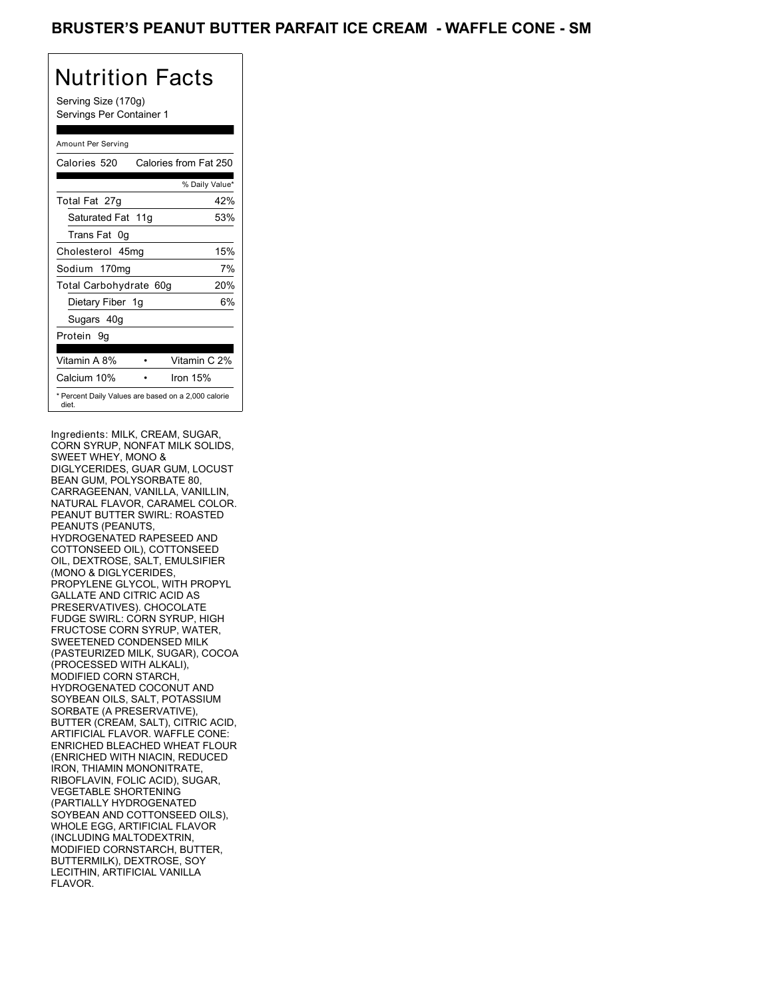Serving Size (170g) Servings Per Container 1

### Amount Per Serving

| Calories 520                                                 | Calories from Fat 250 |
|--------------------------------------------------------------|-----------------------|
|                                                              | % Daily Value*        |
| Total Fat 27g                                                | 42%                   |
| Saturated Fat 11g                                            | 53%                   |
| Trans Fat 0q                                                 |                       |
| Cholesterol 45mg                                             | 15%                   |
| Sodium 170mg                                                 | 7%                    |
| Total Carbohydrate 60g                                       | 20%                   |
| Dietary Fiber 1g                                             | 6%                    |
| Sugars 40g                                                   |                       |
| Protein 9q                                                   |                       |
|                                                              |                       |
| Vitamin A 8%                                                 | Vitamin C 2%          |
| Calcium 10%                                                  | Iron 15%              |
| * Percent Daily Values are based on a 2,000 calorie<br>diet. |                       |

Ingredients: MILK, CREAM, SUGAR, CORN SYRUP, NONFAT MILK SOLIDS, SWEET WHEY, MONO & DIGLYCERIDES, GUAR GUM, LOCUST BEAN GUM, POLYSORBATE 80, CARRAGEENAN, VANILLA, VANILLIN, NATURAL FLAVOR, CARAMEL COLOR. PEANUT BUTTER SWIRL: ROASTED PEANUTS (PEANUTS, HYDROGENATED RAPESEED AND COTTONSEED OIL), COTTONSEED OIL, DEXTROSE, SALT, EMULSIFIER (MONO & DIGLYCERIDES, PROPYLENE GLYCOL, WITH PROPYL GALLATE AND CITRIC ACID AS PRESERVATIVES). CHOCOLATE FUDGE SWIRL: CORN SYRUP, HIGH FRUCTOSE CORN SYRUP, WATER, SWEETENED CONDENSED MILK (PASTEURIZED MILK, SUGAR), COCOA (PROCESSED WITH ALKALI), MODIFIED CORN STARCH, HYDROGENATED COCONUT AND SOYBEAN OILS, SALT, POTASSIUM SORBATE (A PRESERVATIVE), BUTTER (CREAM, SALT), CITRIC ACID, ARTIFICIAL FLAVOR. WAFFLE CONE: ENRICHED BLEACHED WHEAT FLOUR (ENRICHED WITH NIACIN, REDUCED IRON, THIAMIN MONONITRATE, RIBOFLAVIN, FOLIC ACID), SUGAR, VEGETABLE SHORTENING (PARTIALLY HYDROGENATED SOYBEAN AND COTTONSEED OILS), WHOLE EGG, ARTIFICIAL FLAVOR (INCLUDING MALTODEXTRIN, MODIFIED CORNSTARCH, BUTTER, BUTTERMILK), DEXTROSE, SOY LECITHIN, ARTIFICIAL VANILLA FLAVOR.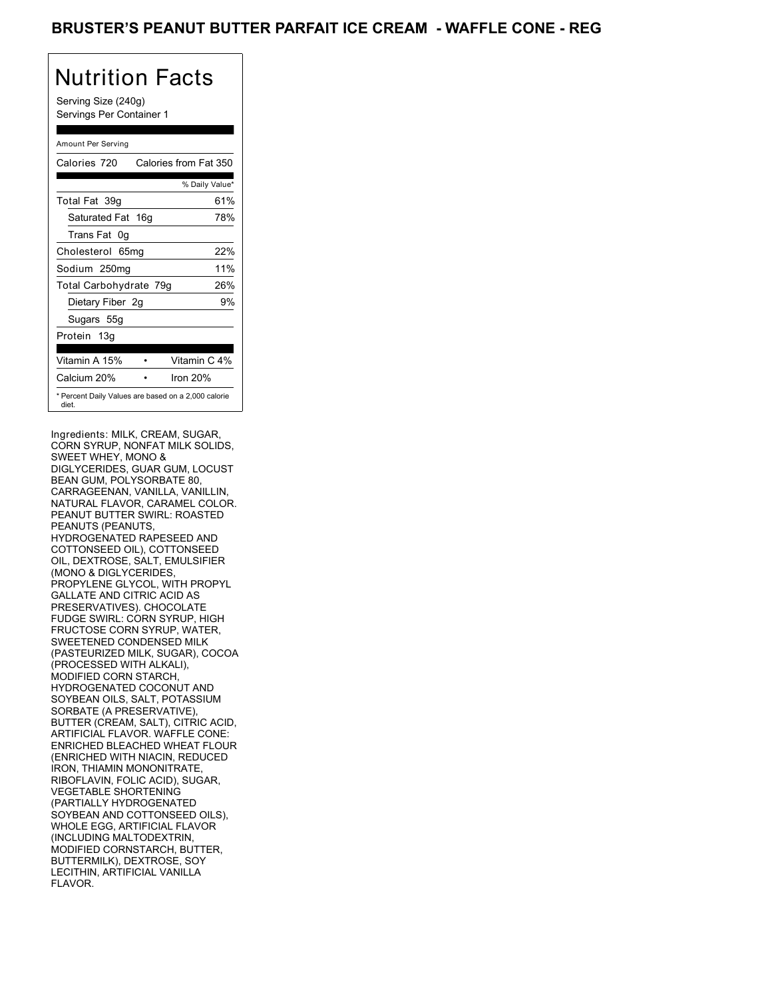### BRUSTER'S PEANUT BUTTER PARFAIT ICE CREAM - WAFFLE CONE - REG

# Nutrition Facts

Serving Size (240g) Servings Per Container 1

### Amount Per Serving

| Calories 720           | Calories from Fat 350                               |
|------------------------|-----------------------------------------------------|
|                        | % Daily Value*                                      |
| Total Fat 39q          | 61%                                                 |
| Saturated Fat 16g      | 78%                                                 |
| Trans Fat 0q           |                                                     |
| Cholesterol 65mg       | 22%                                                 |
| Sodium 250mg           | 11%                                                 |
| Total Carbohydrate 79g | 26%                                                 |
| Dietary Fiber 2g       | 9%                                                  |
| Sugars 55g             |                                                     |
| Protein 13g            |                                                     |
| Vitamin A 15%          | Vitamin C 4%                                        |
| Calcium 20%            | Iron 20%                                            |
| diet.                  | * Percent Daily Values are based on a 2,000 calorie |

Ingredients: MILK, CREAM, SUGAR, CORN SYRUP, NONFAT MILK SOLIDS, SWEET WHEY, MONO & DIGLYCERIDES, GUAR GUM, LOCUST BEAN GUM, POLYSORBATE 80, CARRAGEENAN, VANILLA, VANILLIN, NATURAL FLAVOR, CARAMEL COLOR. PEANUT BUTTER SWIRL: ROASTED PEANUTS (PEANUTS, HYDROGENATED RAPESEED AND COTTONSEED OIL), COTTONSEED OIL, DEXTROSE, SALT, EMULSIFIER (MONO & DIGLYCERIDES, PROPYLENE GLYCOL, WITH PROPYL GALLATE AND CITRIC ACID AS PRESERVATIVES). CHOCOLATE FUDGE SWIRL: CORN SYRUP, HIGH FRUCTOSE CORN SYRUP, WATER, SWEETENED CONDENSED MILK (PASTEURIZED MILK, SUGAR), COCOA (PROCESSED WITH ALKALI), MODIFIED CORN STARCH, HYDROGENATED COCONUT AND SOYBEAN OILS, SALT, POTASSIUM SORBATE (A PRESERVATIVE), BUTTER (CREAM, SALT), CITRIC ACID, ARTIFICIAL FLAVOR. WAFFLE CONE: ENRICHED BLEACHED WHEAT FLOUR (ENRICHED WITH NIACIN, REDUCED IRON, THIAMIN MONONITRATE, RIBOFLAVIN, FOLIC ACID), SUGAR, VEGETABLE SHORTENING (PARTIALLY HYDROGENATED SOYBEAN AND COTTONSEED OILS), WHOLE EGG, ARTIFICIAL FLAVOR (INCLUDING MALTODEXTRIN, MODIFIED CORNSTARCH, BUTTER, BUTTERMILK), DEXTROSE, SOY LECITHIN, ARTIFICIAL VANILLA FLAVOR.